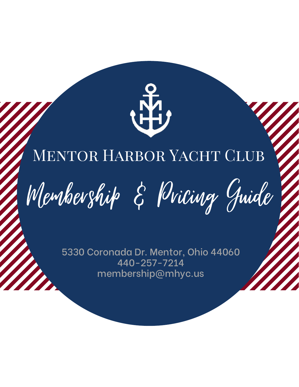

### MENTOR HARBOR YACHT CLUB

Membership & Pricing Guide

5330 Coronada Dr. Mentor, Ohio 44060 440-257-7214 membership@mhyc.us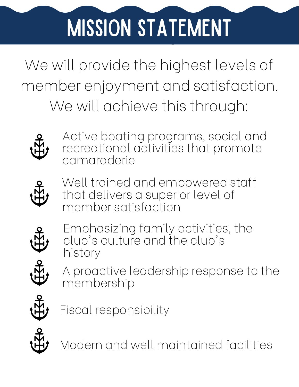## Mission Statement

We will provide the highest levels of member enjoyment and satisfaction. We will achieve this through:



Active boating programs, social and recreational activities that promote camaraderie



Well trained and empowered staff that delivers a superior level of member satisfaction



Emphasizing family activities, the club' s culture and the club' s history



A proactive leadership response to the membership



Fiscal responsibility



Modern and well maintained facilities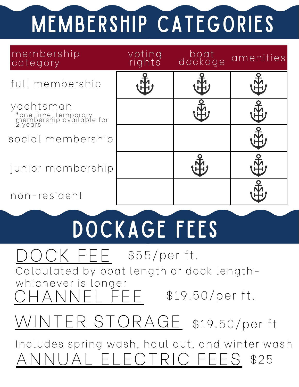# MEMBERSHIP CATEGORIES

| membership<br>category                                                   | voting<br>rights | boat<br>dockage | amenities |
|--------------------------------------------------------------------------|------------------|-----------------|-----------|
| full membership                                                          |                  |                 |           |
| yachtsman<br>*one time, temporary<br>membership available for<br>2 years |                  |                 |           |
| social membership                                                        |                  |                 |           |
| junior membership                                                        |                  |                 |           |
| non-resident                                                             |                  |                 |           |

### DOCKAGE FEES

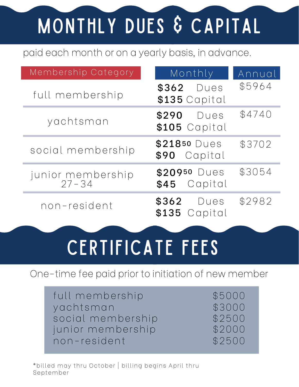### MONTHLY DUES & CAPITAL

#### paid each month or on a yearly basis, in advance.

| Membership Category        | Monthly                         | Annual |
|----------------------------|---------------------------------|--------|
| full membership            | \$362 Dues<br>\$135 Capital     | \$5964 |
| yachtsman                  | \$290<br>Dues<br>\$105 Capital  | \$4740 |
| social membership          | \$21850 Dues<br>Capital<br>\$90 | \$3702 |
| junior membership<br>27-34 | \$20950 Dues<br>\$45 Capital    | \$3054 |
| non-resident               | \$362<br>Dues<br>\$135 Capital  | \$2982 |

### CERTIFICATE FEES

#### One-time fee paid prior to initiation of new member

full membership yachtsman social membership  $$2500$ junior membership  $$2000$ non-resident \$2500

\$5000 \$3000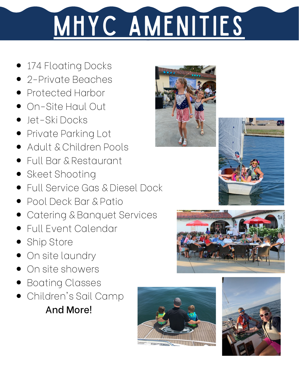# MHYC AMENITIES

- 174 Floating Docks
- 2-Private Beaches
- Protected Harbor
- On-Site Haul Out
- Jet-Ski Docks
- Private Parking Lot
- Adult & Children Pools
- Full Bar & Restaurant
- Skeet Shooting
- Full Service Gas & Diesel Dock
- Pool Deck Bar & Patio
- Catering & Banquet Services
- Full Event Calendar
- Ship Store
- On site laundry
- On site showers
- Boating Classes
- Children's Sail Camp And More!